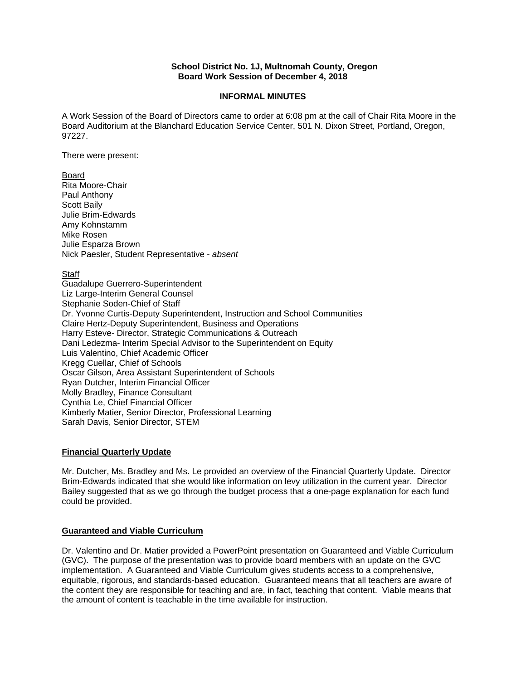## **School District No. 1J, Multnomah County, Oregon Board Work Session of December 4, 2018**

## **INFORMAL MINUTES**

A Work Session of the Board of Directors came to order at 6:08 pm at the call of Chair Rita Moore in the Board Auditorium at the Blanchard Education Service Center, 501 N. Dixon Street, Portland, Oregon, 97227.

### There were present:

Board

Rita Moore-Chair Paul Anthony Scott Baily Julie Brim-Edwards Amy Kohnstamm Mike Rosen Julie Esparza Brown Nick Paesler, Student Representative - *absent* 

# **Staff**

Guadalupe Guerrero-Superintendent Liz Large-Interim General Counsel Stephanie Soden-Chief of Staff Dr. Yvonne Curtis-Deputy Superintendent, Instruction and School Communities Claire Hertz-Deputy Superintendent, Business and Operations Harry Esteve- Director, Strategic Communications & Outreach Dani Ledezma- Interim Special Advisor to the Superintendent on Equity Luis Valentino, Chief Academic Officer Kregg Cuellar, Chief of Schools Oscar Gilson, Area Assistant Superintendent of Schools Ryan Dutcher, Interim Financial Officer Molly Bradley, Finance Consultant Cynthia Le, Chief Financial Officer Kimberly Matier, Senior Director, Professional Learning Sarah Davis, Senior Director, STEM

## **Financial Quarterly Update**

Mr. Dutcher, Ms. Bradley and Ms. Le provided an overview of the Financial Quarterly Update. Director Brim-Edwards indicated that she would like information on levy utilization in the current year. Director Bailey suggested that as we go through the budget process that a one-page explanation for each fund could be provided.

# **Guaranteed and Viable Curriculum**

Dr. Valentino and Dr. Matier provided a PowerPoint presentation on Guaranteed and Viable Curriculum (GVC). The purpose of the presentation was to provide board members with an update on the GVC implementation. A Guaranteed and Viable Curriculum gives students access to a comprehensive, equitable, rigorous, and standards-based education. Guaranteed means that all teachers are aware of the content they are responsible for teaching and are, in fact, teaching that content. Viable means that the amount of content is teachable in the time available for instruction.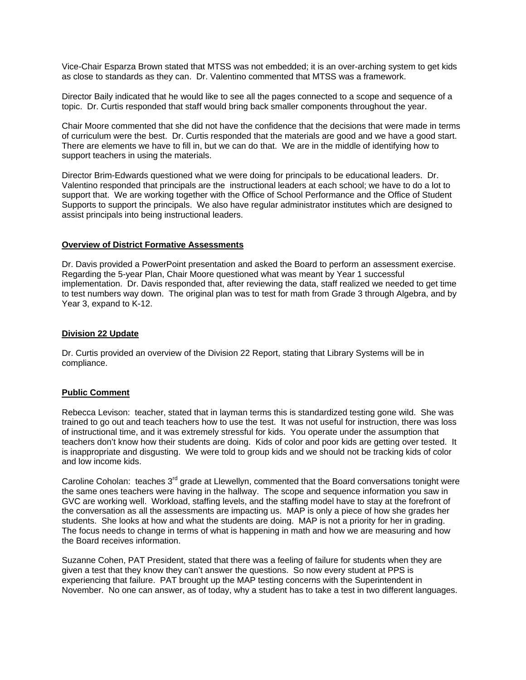Vice-Chair Esparza Brown stated that MTSS was not embedded; it is an over-arching system to get kids as close to standards as they can. Dr. Valentino commented that MTSS was a framework.

Director Baily indicated that he would like to see all the pages connected to a scope and sequence of a topic. Dr. Curtis responded that staff would bring back smaller components throughout the year.

Chair Moore commented that she did not have the confidence that the decisions that were made in terms of curriculum were the best. Dr. Curtis responded that the materials are good and we have a good start. There are elements we have to fill in, but we can do that. We are in the middle of identifying how to support teachers in using the materials.

Director Brim-Edwards questioned what we were doing for principals to be educational leaders. Dr. Valentino responded that principals are the instructional leaders at each school; we have to do a lot to support that. We are working together with the Office of School Performance and the Office of Student Supports to support the principals. We also have regular administrator institutes which are designed to assist principals into being instructional leaders.

### **Overview of District Formative Assessments**

Dr. Davis provided a PowerPoint presentation and asked the Board to perform an assessment exercise. Regarding the 5-year Plan, Chair Moore questioned what was meant by Year 1 successful implementation. Dr. Davis responded that, after reviewing the data, staff realized we needed to get time to test numbers way down. The original plan was to test for math from Grade 3 through Algebra, and by Year 3, expand to K-12.

### **Division 22 Update**

Dr. Curtis provided an overview of the Division 22 Report, stating that Library Systems will be in compliance.

## **Public Comment**

Rebecca Levison: teacher, stated that in layman terms this is standardized testing gone wild. She was trained to go out and teach teachers how to use the test. It was not useful for instruction, there was loss of instructional time, and it was extremely stressful for kids. You operate under the assumption that teachers don't know how their students are doing. Kids of color and poor kids are getting over tested. It is inappropriate and disgusting. We were told to group kids and we should not be tracking kids of color and low income kids.

Caroline Coholan: teaches  $3<sup>rd</sup>$  grade at Llewellyn, commented that the Board conversations tonight were the same ones teachers were having in the hallway. The scope and sequence information you saw in GVC are working well. Workload, staffing levels, and the staffing model have to stay at the forefront of the conversation as all the assessments are impacting us. MAP is only a piece of how she grades her students. She looks at how and what the students are doing. MAP is not a priority for her in grading. The focus needs to change in terms of what is happening in math and how we are measuring and how the Board receives information.

Suzanne Cohen, PAT President, stated that there was a feeling of failure for students when they are given a test that they know they can't answer the questions. So now every student at PPS is experiencing that failure. PAT brought up the MAP testing concerns with the Superintendent in November. No one can answer, as of today, why a student has to take a test in two different languages.